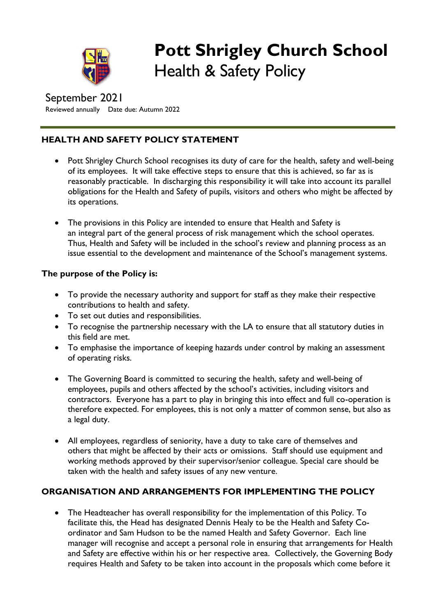

# **Pott Shrigley Church School** Health & Safety Policy

September 2021 Reviewed annually Date due: Autumn 2022

## **HEALTH AND SAFETY POLICY STATEMENT**

- Pott Shrigley Church School recognises its duty of care for the health, safety and well-being of its employees. It will take effective steps to ensure that this is achieved, so far as is reasonably practicable. In discharging this responsibility it will take into account its parallel obligations for the Health and Safety of pupils, visitors and others who might be affected by its operations.
- The provisions in this Policy are intended to ensure that Health and Safety is an integral part of the general process of risk management which the school operates. Thus, Health and Safety will be included in the school's review and planning process as an issue essential to the development and maintenance of the School's management systems.

## **The purpose of the Policy is:**

- To provide the necessary authority and support for staff as they make their respective contributions to health and safety.
- To set out duties and responsibilities.
- To recognise the partnership necessary with the LA to ensure that all statutory duties in this field are met.
- To emphasise the importance of keeping hazards under control by making an assessment of operating risks.
- The Governing Board is committed to securing the health, safety and well-being of employees, pupils and others affected by the school's activities, including visitors and contractors. Everyone has a part to play in bringing this into effect and full co-operation is therefore expected. For employees, this is not only a matter of common sense, but also as a legal duty.
- All employees, regardless of seniority, have a duty to take care of themselves and others that might be affected by their acts or omissions. Staff should use equipment and working methods approved by their supervisor/senior colleague. Special care should be taken with the health and safety issues of any new venture.

## **ORGANISATION AND ARRANGEMENTS FOR IMPLEMENTING THE POLICY**

 The Headteacher has overall responsibility for the implementation of this Policy. To facilitate this, the Head has designated Dennis Healy to be the Health and Safety Coordinator and Sam Hudson to be the named Health and Safety Governor. Each line manager will recognise and accept a personal role in ensuring that arrangements for Health and Safety are effective within his or her respective area. Collectively, the Governing Body requires Health and Safety to be taken into account in the proposals which come before it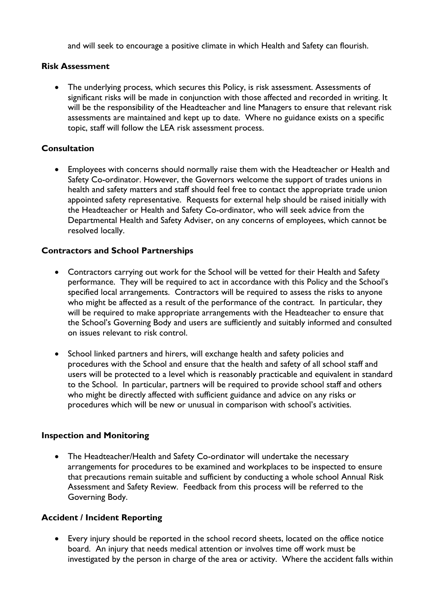and will seek to encourage a positive climate in which Health and Safety can flourish.

#### **Risk Assessment**

 The underlying process, which secures this Policy, is risk assessment. Assessments of significant risks will be made in conjunction with those affected and recorded in writing. It will be the responsibility of the Headteacher and line Managers to ensure that relevant risk assessments are maintained and kept up to date. Where no guidance exists on a specific topic, staff will follow the LEA risk assessment process.

#### **Consultation**

 Employees with concerns should normally raise them with the Headteacher or Health and Safety Co-ordinator. However, the Governors welcome the support of trades unions in health and safety matters and staff should feel free to contact the appropriate trade union appointed safety representative. Requests for external help should be raised initially with the Headteacher or Health and Safety Co-ordinator, who will seek advice from the Departmental Health and Safety Adviser, on any concerns of employees, which cannot be resolved locally.

#### **Contractors and School Partnerships**

- Contractors carrying out work for the School will be vetted for their Health and Safety performance. They will be required to act in accordance with this Policy and the School's specified local arrangements. Contractors will be required to assess the risks to anyone who might be affected as a result of the performance of the contract. In particular, they will be required to make appropriate arrangements with the Headteacher to ensure that the School's Governing Body and users are sufficiently and suitably informed and consulted on issues relevant to risk control.
- School linked partners and hirers, will exchange health and safety policies and procedures with the School and ensure that the health and safety of all school staff and users will be protected to a level which is reasonably practicable and equivalent in standard to the School. In particular, partners will be required to provide school staff and others who might be directly affected with sufficient guidance and advice on any risks or procedures which will be new or unusual in comparison with school's activities.

#### **Inspection and Monitoring**

• The Headteacher/Health and Safety Co-ordinator will undertake the necessary arrangements for procedures to be examined and workplaces to be inspected to ensure that precautions remain suitable and sufficient by conducting a whole school Annual Risk Assessment and Safety Review. Feedback from this process will be referred to the Governing Body.

#### **Accident / Incident Reporting**

 Every injury should be reported in the school record sheets, located on the office notice board. An injury that needs medical attention or involves time off work must be investigated by the person in charge of the area or activity. Where the accident falls within